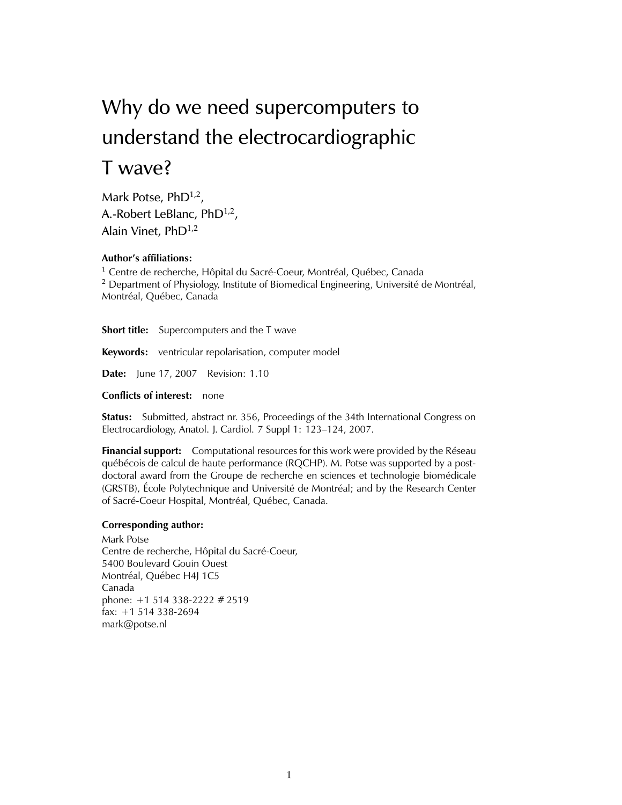# Why do we need supercomputers to understand the electrocardiographic T wave?

Mark Potse, PhD<sup>1,2</sup>, A.-Robert LeBlanc,  $PhD^{1,2}$ , Alain Vinet,  $PhD^{1,2}$ 

#### **Author's affiliations:**

<sup>1</sup> Centre de recherche, Hôpital du Sacré-Coeur, Montréal, Québec, Canada  $2$  Department of Physiology, Institute of Biomedical Engineering, Université de Montréal, Montréal, Québec, Canada

**Short title:** Supercomputers and the T wave

**Keywords:** ventricular repolarisation, computer model

**Date:** June 17, 2007 Revision: 1.10

**Conflicts of interest:** none

**Status:** Submitted, abstract nr. 356, Proceedings of the 34th International Congress on Electrocardiology, Anatol. J. Cardiol. 7 Suppl 1: 123–124, 2007.

**Financial support:** Computational resources for this work were provided by the Réseau québécois de calcul de haute performance (RQCHP). M. Potse was supported by a postdoctoral award from the Groupe de recherche en sciences et technologie biomedicale ´ (GRSTB), École Polytechnique and Université de Montréal; and by the Research Center of Sacré-Coeur Hospital, Montréal, Québec, Canada.

#### **Corresponding author:**

Mark Potse Centre de recherche, Hôpital du Sacré-Coeur, 5400 Boulevard Gouin Ouest Montréal, Québec H4J 1C5 Canada phone: +1 514 338-2222 # 2519 fax: +1 514 338-2694 mark@potse.nl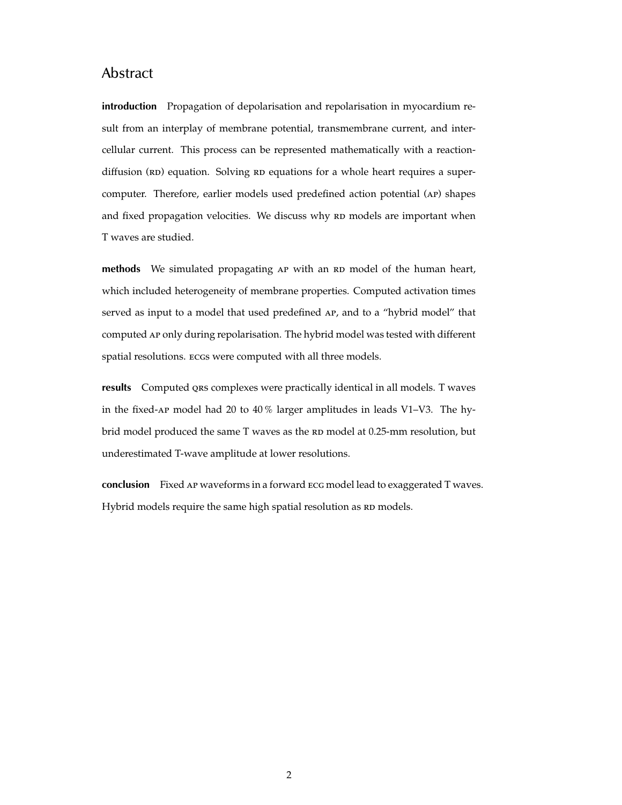## Abstract

**introduction** Propagation of depolarisation and repolarisation in myocardium result from an interplay of membrane potential, transmembrane current, and intercellular current. This process can be represented mathematically with a reactiondiffusion (RD) equation. Solving RD equations for a whole heart requires a supercomputer. Therefore, earlier models used predefined action potential (ap) shapes and fixed propagation velocities. We discuss why RD models are important when T waves are studied.

**methods** We simulated propagating AP with an RD model of the human heart, which included heterogeneity of membrane properties. Computed activation times served as input to a model that used predefined AP, and to a "hybrid model" that computed ap only during repolarisation. The hybrid model was tested with different spatial resolutions. ecgs were computed with all three models.

**results** Computed qrs complexes were practically identical in all models. T waves in the fixed-ap model had 20 to 40 % larger amplitudes in leads V1–V3. The hybrid model produced the same T waves as the RD model at 0.25-mm resolution, but underestimated T-wave amplitude at lower resolutions.

**conclusion** Fixed ap waveforms in a forward ecg model lead to exaggerated T waves. Hybrid models require the same high spatial resolution as RD models.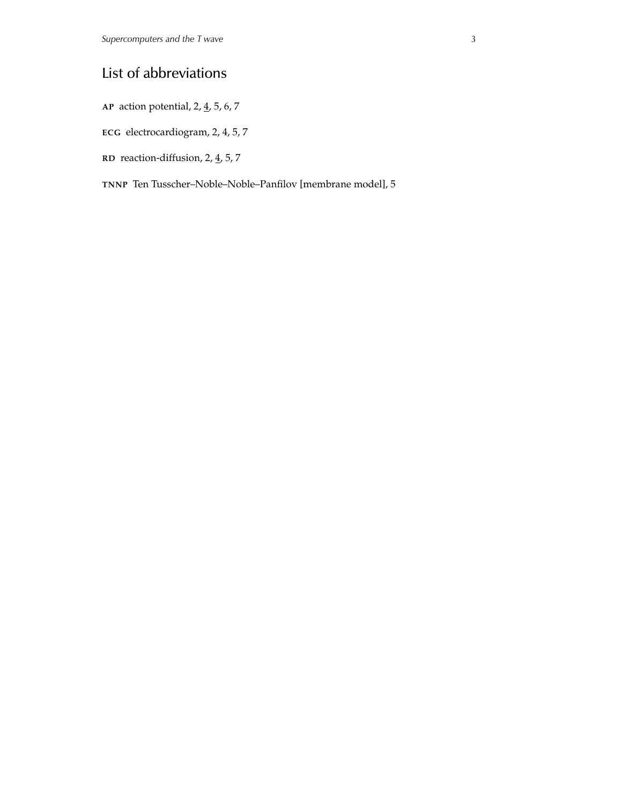## List of abbreviations

**AP** action potential, 2, 4, 5, 6, 7

**ECG** electrocardiogram, 2, 4, 5, 7

**RD** reaction-diffusion, 2, 4, 5, 7

**TNNP** Ten Tusscher–Noble–Noble–Panfilov [membrane model], 5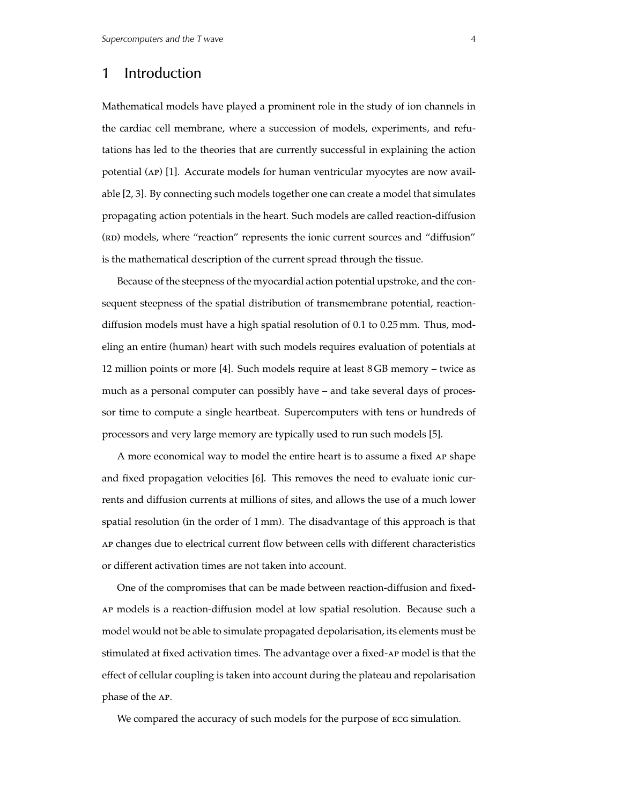## 1 Introduction

Mathematical models have played a prominent role in the study of ion channels in the cardiac cell membrane, where a succession of models, experiments, and refutations has led to the theories that are currently successful in explaining the action potential (ap) [1]. Accurate models for human ventricular myocytes are now available [2, 3]. By connecting such models together one can create a model that simulates propagating action potentials in the heart. Such models are called reaction-diffusion (RD) models, where "reaction" represents the ionic current sources and "diffusion" is the mathematical description of the current spread through the tissue.

Because of the steepness of the myocardial action potential upstroke, and the consequent steepness of the spatial distribution of transmembrane potential, reactiondiffusion models must have a high spatial resolution of 0.1 to 0.25 mm. Thus, modeling an entire (human) heart with such models requires evaluation of potentials at 12 million points or more [4]. Such models require at least 8 GB memory – twice as much as a personal computer can possibly have – and take several days of processor time to compute a single heartbeat. Supercomputers with tens or hundreds of processors and very large memory are typically used to run such models [5].

A more economical way to model the entire heart is to assume a fixed ap shape and fixed propagation velocities [6]. This removes the need to evaluate ionic currents and diffusion currents at millions of sites, and allows the use of a much lower spatial resolution (in the order of 1 mm). The disadvantage of this approach is that ap changes due to electrical current flow between cells with different characteristics or different activation times are not taken into account.

One of the compromises that can be made between reaction-diffusion and fixedap models is a reaction-diffusion model at low spatial resolution. Because such a model would not be able to simulate propagated depolarisation, its elements must be stimulated at fixed activation times. The advantage over a fixed-ap model is that the effect of cellular coupling is taken into account during the plateau and repolarisation phase of the ap.

We compared the accuracy of such models for the purpose of ECG simulation.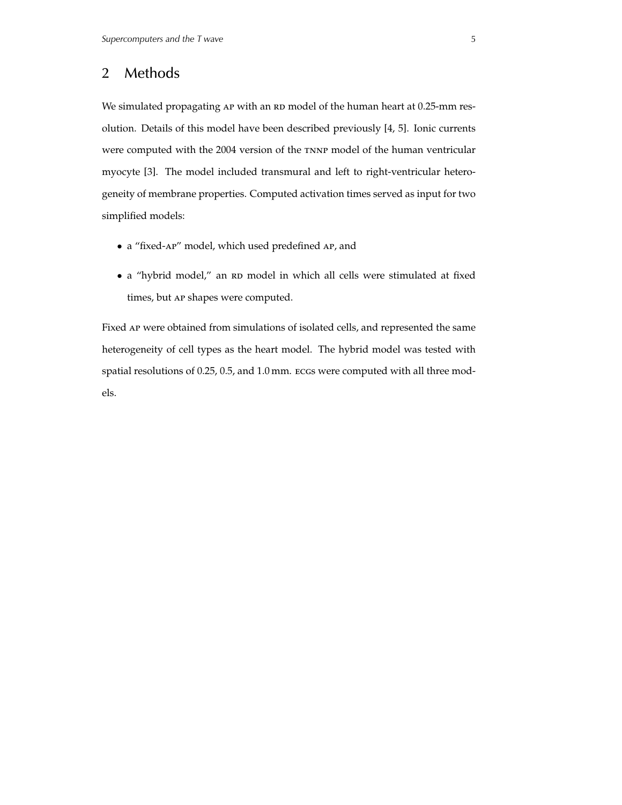#### 2 Methods

We simulated propagating AP with an RD model of the human heart at 0.25-mm resolution. Details of this model have been described previously [4, 5]. Ionic currents were computed with the 2004 version of the TNNP model of the human ventricular myocyte [3]. The model included transmural and left to right-ventricular heterogeneity of membrane properties. Computed activation times served as input for two simplified models:

- a "fixed-ap" model, which used predefined ap, and
- a "hybrid model," an RD model in which all cells were stimulated at fixed times, but ap shapes were computed.

Fixed ap were obtained from simulations of isolated cells, and represented the same heterogeneity of cell types as the heart model. The hybrid model was tested with spatial resolutions of 0.25, 0.5, and 1.0 mm. ECGs were computed with all three models.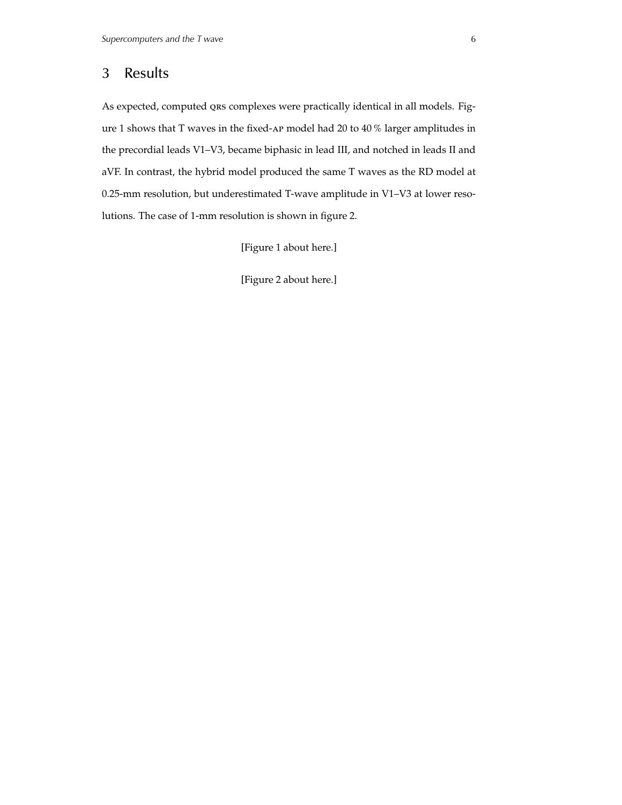#### 3 Results

As expected, computed QRS complexes were practically identical in all models. Figure 1 shows that T waves in the fixed-ap model had 20 to 40 % larger amplitudes in the precordial leads V1–V3, became biphasic in lead III, and notched in leads II and aVF. In contrast, the hybrid model produced the same T waves as the RD model at 0.25-mm resolution, but underestimated T-wave amplitude in V1–V3 at lower resolutions. The case of 1-mm resolution is shown in figure 2.

[Figure 1 about here.]

[Figure 2 about here.]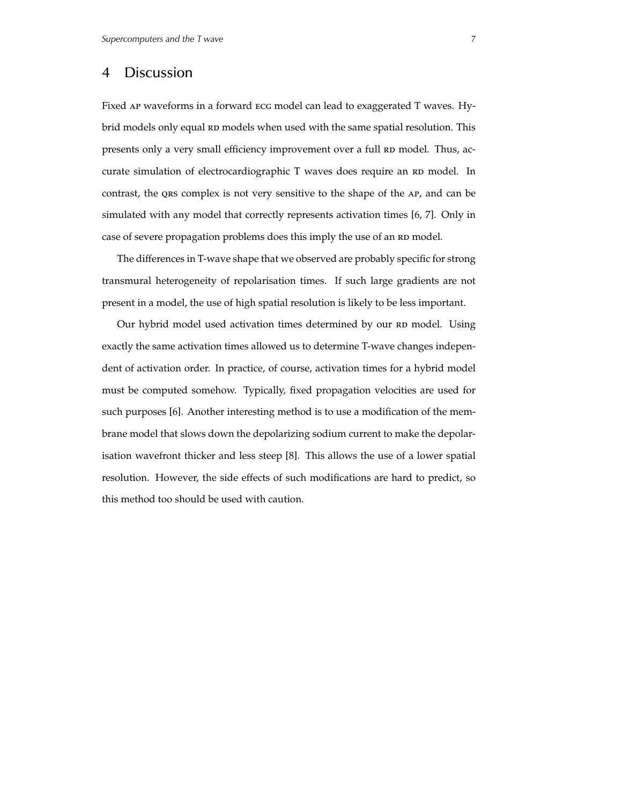#### 4 Discussion

Fixed ap waveforms in a forward ecg model can lead to exaggerated T waves. Hybrid models only equal RD models when used with the same spatial resolution. This presents only a very small efficiency improvement over a full RD model. Thus, accurate simulation of electrocardiographic T waves does require an RD model. In contrast, the qrs complex is not very sensitive to the shape of the ap, and can be simulated with any model that correctly represents activation times [6, 7]. Only in case of severe propagation problems does this imply the use of an RD model.

The differences in T-wave shape that we observed are probably specific for strong transmural heterogeneity of repolarisation times. If such large gradients are not present in a model, the use of high spatial resolution is likely to be less important.

Our hybrid model used activation times determined by our RD model. Using exactly the same activation times allowed us to determine T-wave changes independent of activation order. In practice, of course, activation times for a hybrid model must be computed somehow. Typically, fixed propagation velocities are used for such purposes [6]. Another interesting method is to use a modification of the membrane model that slows down the depolarizing sodium current to make the depolarisation wavefront thicker and less steep [8]. This allows the use of a lower spatial resolution. However, the side effects of such modifications are hard to predict, so this method too should be used with caution.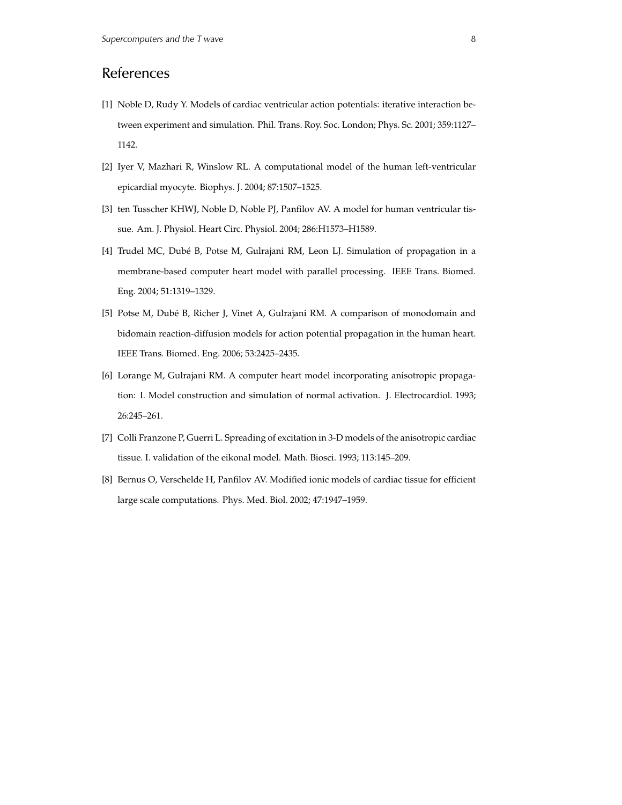#### References

- [1] Noble D, Rudy Y. Models of cardiac ventricular action potentials: iterative interaction between experiment and simulation. Phil. Trans. Roy. Soc. London; Phys. Sc. 2001; 359:1127– 1142.
- [2] Iyer V, Mazhari R, Winslow RL. A computational model of the human left-ventricular epicardial myocyte. Biophys. J. 2004; 87:1507–1525.
- [3] ten Tusscher KHWJ, Noble D, Noble PJ, Panfilov AV. A model for human ventricular tissue. Am. J. Physiol. Heart Circ. Physiol. 2004; 286:H1573–H1589.
- [4] Trudel MC, Dubé B, Potse M, Gulrajani RM, Leon LJ. Simulation of propagation in a membrane-based computer heart model with parallel processing. IEEE Trans. Biomed. Eng. 2004; 51:1319–1329.
- [5] Potse M, Dubé B, Richer J, Vinet A, Gulrajani RM. A comparison of monodomain and bidomain reaction-diffusion models for action potential propagation in the human heart. IEEE Trans. Biomed. Eng. 2006; 53:2425–2435.
- [6] Lorange M, Gulrajani RM. A computer heart model incorporating anisotropic propagation: I. Model construction and simulation of normal activation. J. Electrocardiol. 1993; 26:245–261.
- [7] Colli Franzone P, Guerri L. Spreading of excitation in 3-D models of the anisotropic cardiac tissue. I. validation of the eikonal model. Math. Biosci. 1993; 113:145–209.
- [8] Bernus O, Verschelde H, Panfilov AV. Modified ionic models of cardiac tissue for efficient large scale computations. Phys. Med. Biol. 2002; 47:1947–1959.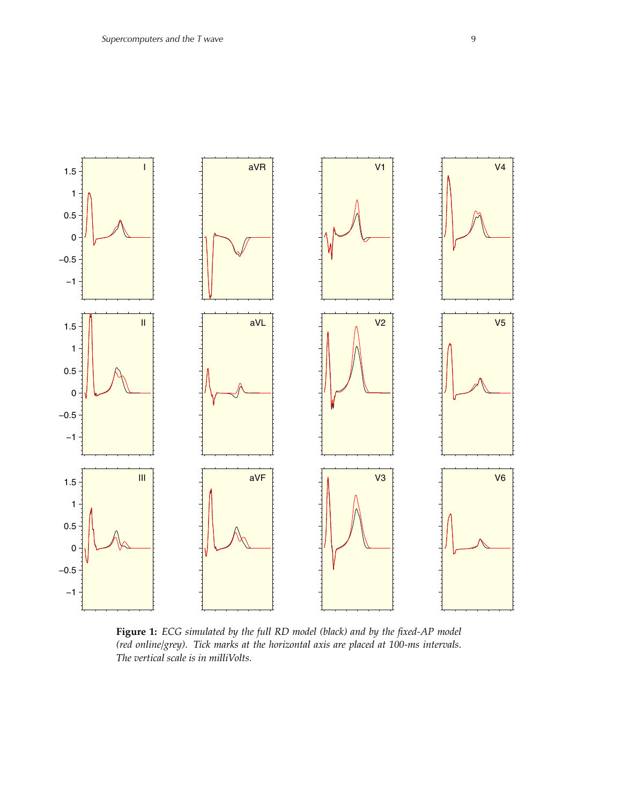

**Figure 1:** *ECG simulated by the full RD model (black) and by the fixed-AP model (red online/grey). Tick marks at the horizontal axis are placed at 100-ms intervals. The vertical scale is in milliVolts.*